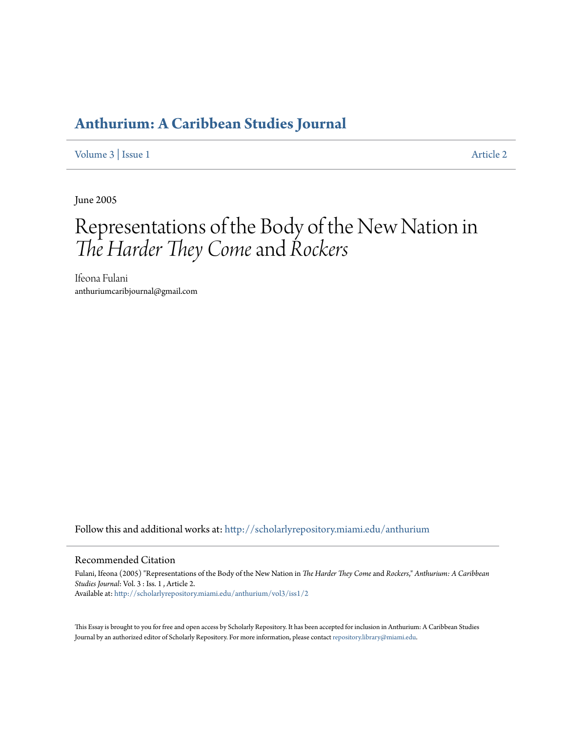# **[Anthurium: A Caribbean Studies Journal](http://scholarlyrepository.miami.edu/anthurium?utm_source=scholarlyrepository.miami.edu%2Fanthurium%2Fvol3%2Fiss1%2F2&utm_medium=PDF&utm_campaign=PDFCoverPages)**

[Volume 3](http://scholarlyrepository.miami.edu/anthurium/vol3?utm_source=scholarlyrepository.miami.edu%2Fanthurium%2Fvol3%2Fiss1%2F2&utm_medium=PDF&utm_campaign=PDFCoverPages) | [Issue 1](http://scholarlyrepository.miami.edu/anthurium/vol3/iss1?utm_source=scholarlyrepository.miami.edu%2Fanthurium%2Fvol3%2Fiss1%2F2&utm_medium=PDF&utm_campaign=PDFCoverPages) [Article 2](http://scholarlyrepository.miami.edu/anthurium/vol3/iss1/2?utm_source=scholarlyrepository.miami.edu%2Fanthurium%2Fvol3%2Fiss1%2F2&utm_medium=PDF&utm_campaign=PDFCoverPages)

June 2005

# Representations of the Body of the New Nation in *The Harder They Come*and *Rockers*

Ifeona Fulani anthuriumcaribjournal@gmail.com

Follow this and additional works at: [http://scholarlyrepository.miami.edu/anthurium](http://scholarlyrepository.miami.edu/anthurium?utm_source=scholarlyrepository.miami.edu%2Fanthurium%2Fvol3%2Fiss1%2F2&utm_medium=PDF&utm_campaign=PDFCoverPages)

#### Recommended Citation

Fulani, Ifeona (2005) "Representations of the Body of the New Nation in *The Harder They Come* and *Rockers*," *Anthurium: A Caribbean Studies Journal*: Vol. 3 : Iss. 1 , Article 2. Available at: [http://scholarlyrepository.miami.edu/anthurium/vol3/iss1/2](http://scholarlyrepository.miami.edu/anthurium/vol3/iss1/2?utm_source=scholarlyrepository.miami.edu%2Fanthurium%2Fvol3%2Fiss1%2F2&utm_medium=PDF&utm_campaign=PDFCoverPages)

This Essay is brought to you for free and open access by Scholarly Repository. It has been accepted for inclusion in Anthurium: A Caribbean Studies Journal by an authorized editor of Scholarly Repository. For more information, please contact [repository.library@miami.edu](mailto:repository.library@miami.edu).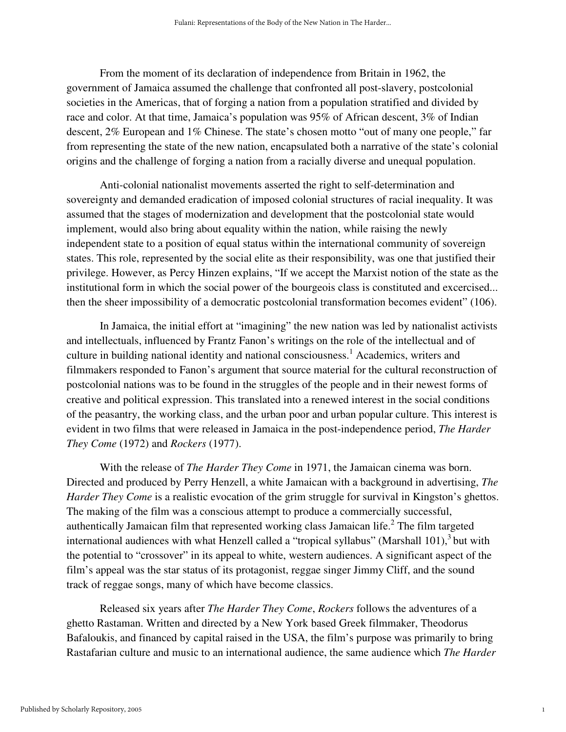From the moment of its declaration of independence from Britain in 1962, the government of Jamaica assumed the challenge that confronted all post-slavery, postcolonial societies in the Americas, that of forging a nation from a population stratified and divided by race and color. At that time, Jamaica's population was 95% of African descent, 3% of Indian descent, 2% European and 1% Chinese. The state's chosen motto "out of many one people," far from representing the state of the new nation, encapsulated both a narrative of the state's colonial origins and the challenge of forging a nation from a racially diverse and unequal population.

Anti-colonial nationalist movements asserted the right to self-determination and sovereignty and demanded eradication of imposed colonial structures of racial inequality. It was assumed that the stages of modernization and development that the postcolonial state would implement, would also bring about equality within the nation, while raising the newly independent state to a position of equal status within the international community of sovereign states. This role, represented by the social elite as their responsibility, was one that justified their privilege. However, as Percy Hinzen explains, "If we accept the Marxist notion of the state as the institutional form in which the social power of the bourgeois class is constituted and excercised... then the sheer impossibility of a democratic postcolonial transformation becomes evident" (106).

In Jamaica, the initial effort at "imagining" the new nation was led by nationalist activists and intellectuals, influenced by Frantz Fanon's writings on the role of the intellectual and of culture in building national identity and national consciousness.<sup>1</sup> Academics, writers and filmmakers responded to Fanon's argument that source material for the cultural reconstruction of postcolonial nations was to be found in the struggles of the people and in their newest forms of creative and political expression. This translated into a renewed interest in the social conditions of the peasantry, the working class, and the urban poor and urban popular culture. This interest is evident in two films that were released in Jamaica in the post-independence period, *The Harder They Come* (1972) and *Rockers* (1977).

With the release of *The Harder They Come* in 1971, the Jamaican cinema was born. Directed and produced by Perry Henzell, a white Jamaican with a background in advertising, *The Harder They Come* is a realistic evocation of the grim struggle for survival in Kingston's ghettos. The making of the film was a conscious attempt to produce a commercially successful, authentically Jamaican film that represented working class Jamaican life. $2$  The film targeted international audiences with what Henzell called a "tropical syllabus" (Marshall 101), $3$  but with the potential to "crossover" in its appeal to white, western audiences. A significant aspect of the film's appeal was the star status of its protagonist, reggae singer Jimmy Cliff, and the sound track of reggae songs, many of which have become classics.

Released six years after *The Harder They Come*, *Rockers* follows the adventures of a ghetto Rastaman. Written and directed by a New York based Greek filmmaker, Theodorus Bafaloukis, and financed by capital raised in the USA, the film's purpose was primarily to bring Rastafarian culture and music to an international audience, the same audience which *The Harder* 

1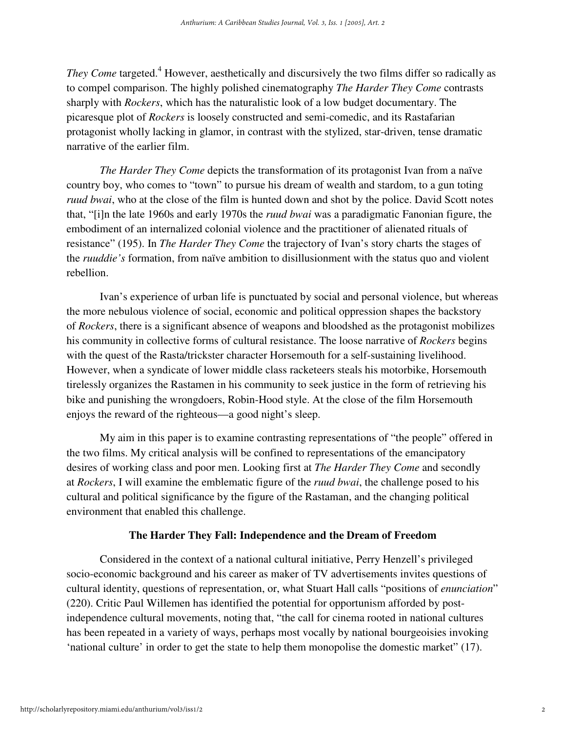They Come targeted.<sup>4</sup> However, aesthetically and discursively the two films differ so radically as to compel comparison. The highly polished cinematography *The Harder They Come* contrasts sharply with *Rockers*, which has the naturalistic look of a low budget documentary. The picaresque plot of *Rockers* is loosely constructed and semi-comedic, and its Rastafarian protagonist wholly lacking in glamor, in contrast with the stylized, star-driven, tense dramatic narrative of the earlier film.

*The Harder They Come* depicts the transformation of its protagonist Ivan from a naïve country boy, who comes to "town" to pursue his dream of wealth and stardom, to a gun toting *ruud bwai*, who at the close of the film is hunted down and shot by the police. David Scott notes that, "[i]n the late 1960s and early 1970s the *ruud bwai* was a paradigmatic Fanonian figure, the embodiment of an internalized colonial violence and the practitioner of alienated rituals of resistance" (195). In *The Harder They Come* the trajectory of Ivan's story charts the stages of the *ruuddie's* formation, from naïve ambition to disillusionment with the status quo and violent rebellion.

Ivan's experience of urban life is punctuated by social and personal violence, but whereas the more nebulous violence of social, economic and political oppression shapes the backstory of *Rockers*, there is a significant absence of weapons and bloodshed as the protagonist mobilizes his community in collective forms of cultural resistance. The loose narrative of *Rockers* begins with the quest of the Rasta/trickster character Horsemouth for a self-sustaining livelihood. However, when a syndicate of lower middle class racketeers steals his motorbike, Horsemouth tirelessly organizes the Rastamen in his community to seek justice in the form of retrieving his bike and punishing the wrongdoers, Robin-Hood style. At the close of the film Horsemouth enjoys the reward of the righteous—a good night's sleep.

My aim in this paper is to examine contrasting representations of "the people" offered in the two films. My critical analysis will be confined to representations of the emancipatory desires of working class and poor men. Looking first at *The Harder They Come* and secondly at *Rockers*, I will examine the emblematic figure of the *ruud bwai*, the challenge posed to his cultural and political significance by the figure of the Rastaman, and the changing political environment that enabled this challenge.

## **The Harder They Fall: Independence and the Dream of Freedom**

Considered in the context of a national cultural initiative, Perry Henzell's privileged socio-economic background and his career as maker of TV advertisements invites questions of cultural identity, questions of representation, or, what Stuart Hall calls "positions of *enunciation*" (220). Critic Paul Willemen has identified the potential for opportunism afforded by postindependence cultural movements, noting that, "the call for cinema rooted in national cultures has been repeated in a variety of ways, perhaps most vocally by national bourgeoisies invoking 'national culture' in order to get the state to help them monopolise the domestic market" (17).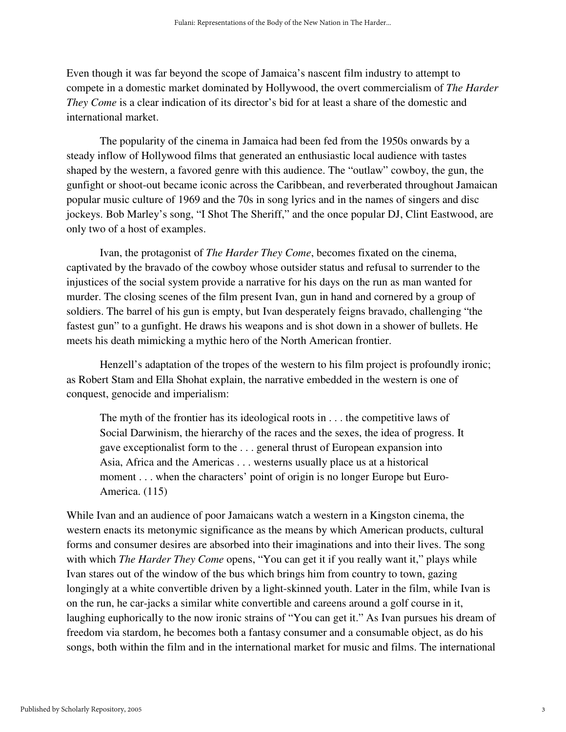Even though it was far beyond the scope of Jamaica's nascent film industry to attempt to compete in a domestic market dominated by Hollywood, the overt commercialism of *The Harder They Come* is a clear indication of its director's bid for at least a share of the domestic and international market.

The popularity of the cinema in Jamaica had been fed from the 1950s onwards by a steady inflow of Hollywood films that generated an enthusiastic local audience with tastes shaped by the western, a favored genre with this audience. The "outlaw" cowboy, the gun, the gunfight or shoot-out became iconic across the Caribbean, and reverberated throughout Jamaican popular music culture of 1969 and the 70s in song lyrics and in the names of singers and disc jockeys. Bob Marley's song, "I Shot The Sheriff," and the once popular DJ, Clint Eastwood, are only two of a host of examples.

Ivan, the protagonist of *The Harder They Come*, becomes fixated on the cinema, captivated by the bravado of the cowboy whose outsider status and refusal to surrender to the injustices of the social system provide a narrative for his days on the run as man wanted for murder. The closing scenes of the film present Ivan, gun in hand and cornered by a group of soldiers. The barrel of his gun is empty, but Ivan desperately feigns bravado, challenging "the fastest gun" to a gunfight. He draws his weapons and is shot down in a shower of bullets. He meets his death mimicking a mythic hero of the North American frontier.

Henzell's adaptation of the tropes of the western to his film project is profoundly ironic; as Robert Stam and Ella Shohat explain, the narrative embedded in the western is one of conquest, genocide and imperialism:

The myth of the frontier has its ideological roots in . . . the competitive laws of Social Darwinism, the hierarchy of the races and the sexes, the idea of progress. It gave exceptionalist form to the . . . general thrust of European expansion into Asia, Africa and the Americas . . . westerns usually place us at a historical moment . . . when the characters' point of origin is no longer Europe but Euro-America. (115)

While Ivan and an audience of poor Jamaicans watch a western in a Kingston cinema, the western enacts its metonymic significance as the means by which American products, cultural forms and consumer desires are absorbed into their imaginations and into their lives. The song with which *The Harder They Come* opens, "You can get it if you really want it," plays while Ivan stares out of the window of the bus which brings him from country to town, gazing longingly at a white convertible driven by a light-skinned youth. Later in the film, while Ivan is on the run, he car-jacks a similar white convertible and careens around a golf course in it, laughing euphorically to the now ironic strains of "You can get it." As Ivan pursues his dream of freedom via stardom, he becomes both a fantasy consumer and a consumable object, as do his songs, both within the film and in the international market for music and films. The international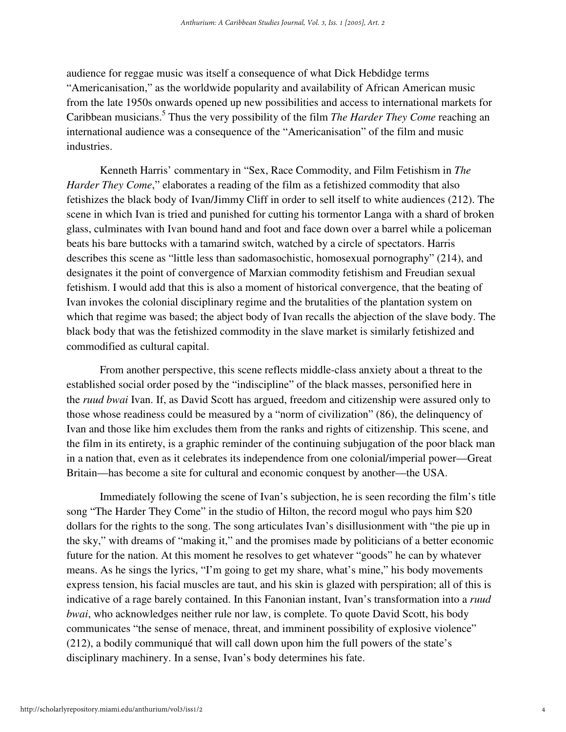audience for reggae music was itself a consequence of what Dick Hebdidge terms "Americanisation," as the worldwide popularity and availability of African American music from the late 1950s onwards opened up new possibilities and access to international markets for Caribbean musicians.<sup>5</sup> Thus the very possibility of the film *The Harder They Come* reaching an international audience was a consequence of the "Americanisation" of the film and music industries.

Kenneth Harris' commentary in "Sex, Race Commodity, and Film Fetishism in *The Harder They Come*," elaborates a reading of the film as a fetishized commodity that also fetishizes the black body of Ivan/Jimmy Cliff in order to sell itself to white audiences (212). The scene in which Ivan is tried and punished for cutting his tormentor Langa with a shard of broken glass, culminates with Ivan bound hand and foot and face down over a barrel while a policeman beats his bare buttocks with a tamarind switch, watched by a circle of spectators. Harris describes this scene as "little less than sadomasochistic, homosexual pornography" (214), and designates it the point of convergence of Marxian commodity fetishism and Freudian sexual fetishism. I would add that this is also a moment of historical convergence, that the beating of Ivan invokes the colonial disciplinary regime and the brutalities of the plantation system on which that regime was based; the abject body of Ivan recalls the abjection of the slave body. The black body that was the fetishized commodity in the slave market is similarly fetishized and commodified as cultural capital.

From another perspective, this scene reflects middle-class anxiety about a threat to the established social order posed by the "indiscipline" of the black masses, personified here in the *ruud bwai* Ivan. If, as David Scott has argued, freedom and citizenship were assured only to those whose readiness could be measured by a "norm of civilization" (86), the delinquency of Ivan and those like him excludes them from the ranks and rights of citizenship. This scene, and the film in its entirety, is a graphic reminder of the continuing subjugation of the poor black man in a nation that, even as it celebrates its independence from one colonial/imperial power—Great Britain—has become a site for cultural and economic conquest by another—the USA.

Immediately following the scene of Ivan's subjection, he is seen recording the film's title song "The Harder They Come" in the studio of Hilton, the record mogul who pays him \$20 dollars for the rights to the song. The song articulates Ivan's disillusionment with "the pie up in the sky," with dreams of "making it," and the promises made by politicians of a better economic future for the nation. At this moment he resolves to get whatever "goods" he can by whatever means. As he sings the lyrics, "I'm going to get my share, what's mine," his body movements express tension, his facial muscles are taut, and his skin is glazed with perspiration; all of this is indicative of a rage barely contained. In this Fanonian instant, Ivan's transformation into a *ruud bwai*, who acknowledges neither rule nor law, is complete. To quote David Scott, his body communicates "the sense of menace, threat, and imminent possibility of explosive violence" (212), a bodily communiqué that will call down upon him the full powers of the state's disciplinary machinery. In a sense, Ivan's body determines his fate.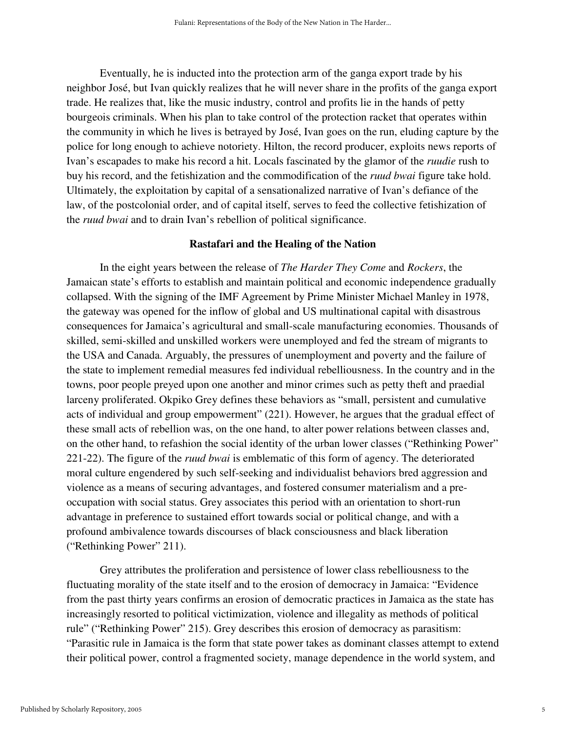Eventually, he is inducted into the protection arm of the ganga export trade by his neighbor José, but Ivan quickly realizes that he will never share in the profits of the ganga export trade. He realizes that, like the music industry, control and profits lie in the hands of petty bourgeois criminals. When his plan to take control of the protection racket that operates within the community in which he lives is betrayed by José, Ivan goes on the run, eluding capture by the police for long enough to achieve notoriety. Hilton, the record producer, exploits news reports of Ivan's escapades to make his record a hit. Locals fascinated by the glamor of the *ruudie* rush to buy his record, and the fetishization and the commodification of the *ruud bwai* figure take hold. Ultimately, the exploitation by capital of a sensationalized narrative of Ivan's defiance of the law, of the postcolonial order, and of capital itself, serves to feed the collective fetishization of the *ruud bwai* and to drain Ivan's rebellion of political significance.

### **Rastafari and the Healing of the Nation**

In the eight years between the release of *The Harder They Come* and *Rockers*, the Jamaican state's efforts to establish and maintain political and economic independence gradually collapsed. With the signing of the IMF Agreement by Prime Minister Michael Manley in 1978, the gateway was opened for the inflow of global and US multinational capital with disastrous consequences for Jamaica's agricultural and small-scale manufacturing economies. Thousands of skilled, semi-skilled and unskilled workers were unemployed and fed the stream of migrants to the USA and Canada. Arguably, the pressures of unemployment and poverty and the failure of the state to implement remedial measures fed individual rebelliousness. In the country and in the towns, poor people preyed upon one another and minor crimes such as petty theft and praedial larceny proliferated. Okpiko Grey defines these behaviors as "small, persistent and cumulative acts of individual and group empowerment" (221). However, he argues that the gradual effect of these small acts of rebellion was, on the one hand, to alter power relations between classes and, on the other hand, to refashion the social identity of the urban lower classes ("Rethinking Power" 221-22). The figure of the *ruud bwai* is emblematic of this form of agency. The deteriorated moral culture engendered by such self-seeking and individualist behaviors bred aggression and violence as a means of securing advantages, and fostered consumer materialism and a preoccupation with social status. Grey associates this period with an orientation to short-run advantage in preference to sustained effort towards social or political change, and with a profound ambivalence towards discourses of black consciousness and black liberation ("Rethinking Power" 211).

Grey attributes the proliferation and persistence of lower class rebelliousness to the fluctuating morality of the state itself and to the erosion of democracy in Jamaica: "Evidence from the past thirty years confirms an erosion of democratic practices in Jamaica as the state has increasingly resorted to political victimization, violence and illegality as methods of political rule" ("Rethinking Power" 215). Grey describes this erosion of democracy as parasitism: "Parasitic rule in Jamaica is the form that state power takes as dominant classes attempt to extend their political power, control a fragmented society, manage dependence in the world system, and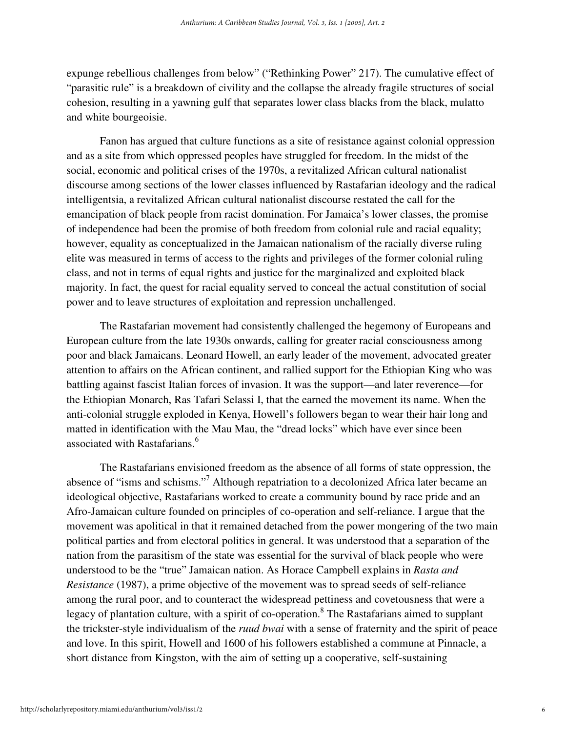expunge rebellious challenges from below" ("Rethinking Power" 217). The cumulative effect of "parasitic rule" is a breakdown of civility and the collapse the already fragile structures of social cohesion, resulting in a yawning gulf that separates lower class blacks from the black, mulatto and white bourgeoisie.

Fanon has argued that culture functions as a site of resistance against colonial oppression and as a site from which oppressed peoples have struggled for freedom. In the midst of the social, economic and political crises of the 1970s, a revitalized African cultural nationalist discourse among sections of the lower classes influenced by Rastafarian ideology and the radical intelligentsia, a revitalized African cultural nationalist discourse restated the call for the emancipation of black people from racist domination. For Jamaica's lower classes, the promise of independence had been the promise of both freedom from colonial rule and racial equality; however, equality as conceptualized in the Jamaican nationalism of the racially diverse ruling elite was measured in terms of access to the rights and privileges of the former colonial ruling class, and not in terms of equal rights and justice for the marginalized and exploited black majority. In fact, the quest for racial equality served to conceal the actual constitution of social power and to leave structures of exploitation and repression unchallenged.

The Rastafarian movement had consistently challenged the hegemony of Europeans and European culture from the late 1930s onwards, calling for greater racial consciousness among poor and black Jamaicans. Leonard Howell, an early leader of the movement, advocated greater attention to affairs on the African continent, and rallied support for the Ethiopian King who was battling against fascist Italian forces of invasion. It was the support—and later reverence—for the Ethiopian Monarch, Ras Tafari Selassi I, that the earned the movement its name. When the anti-colonial struggle exploded in Kenya, Howell's followers began to wear their hair long and matted in identification with the Mau Mau, the "dread locks" which have ever since been associated with Rastafarians.<sup>6</sup>

The Rastafarians envisioned freedom as the absence of all forms of state oppression, the absence of "isms and schisms."<sup>7</sup> Although repatriation to a decolonized Africa later became an ideological objective, Rastafarians worked to create a community bound by race pride and an Afro-Jamaican culture founded on principles of co-operation and self-reliance. I argue that the movement was apolitical in that it remained detached from the power mongering of the two main political parties and from electoral politics in general. It was understood that a separation of the nation from the parasitism of the state was essential for the survival of black people who were understood to be the "true" Jamaican nation. As Horace Campbell explains in *Rasta and Resistance* (1987), a prime objective of the movement was to spread seeds of self-reliance among the rural poor, and to counteract the widespread pettiness and covetousness that were a legacy of plantation culture, with a spirit of co-operation.<sup>8</sup> The Rastafarians aimed to supplant the trickster-style individualism of the *ruud bwai* with a sense of fraternity and the spirit of peace and love. In this spirit, Howell and 1600 of his followers established a commune at Pinnacle, a short distance from Kingston, with the aim of setting up a cooperative, self-sustaining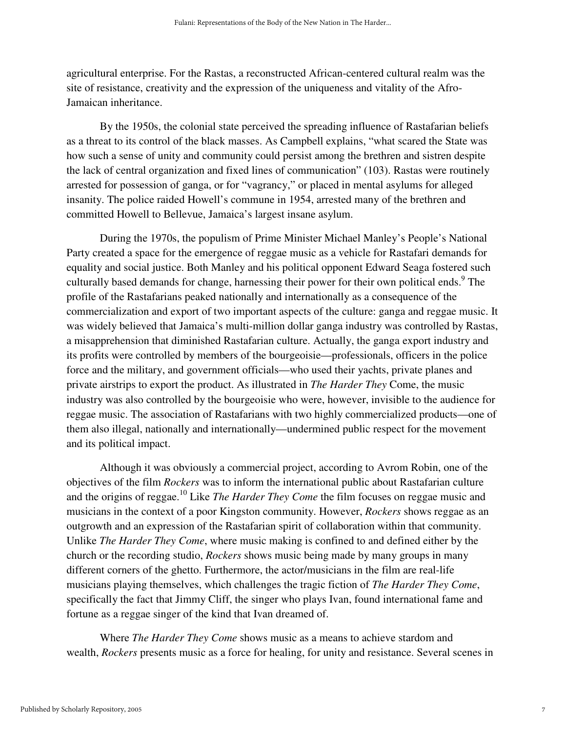agricultural enterprise. For the Rastas, a reconstructed African-centered cultural realm was the site of resistance, creativity and the expression of the uniqueness and vitality of the Afro-Jamaican inheritance.

By the 1950s, the colonial state perceived the spreading influence of Rastafarian beliefs as a threat to its control of the black masses. As Campbell explains, "what scared the State was how such a sense of unity and community could persist among the brethren and sistren despite the lack of central organization and fixed lines of communication" (103). Rastas were routinely arrested for possession of ganga, or for "vagrancy," or placed in mental asylums for alleged insanity. The police raided Howell's commune in 1954, arrested many of the brethren and committed Howell to Bellevue, Jamaica's largest insane asylum.

During the 1970s, the populism of Prime Minister Michael Manley's People's National Party created a space for the emergence of reggae music as a vehicle for Rastafari demands for equality and social justice. Both Manley and his political opponent Edward Seaga fostered such culturally based demands for change, harnessing their power for their own political ends.<sup>9</sup> The profile of the Rastafarians peaked nationally and internationally as a consequence of the commercialization and export of two important aspects of the culture: ganga and reggae music. It was widely believed that Jamaica's multi-million dollar ganga industry was controlled by Rastas, a misapprehension that diminished Rastafarian culture. Actually, the ganga export industry and its profits were controlled by members of the bourgeoisie—professionals, officers in the police force and the military, and government officials—who used their yachts, private planes and private airstrips to export the product. As illustrated in *The Harder They* Come, the music industry was also controlled by the bourgeoisie who were, however, invisible to the audience for reggae music. The association of Rastafarians with two highly commercialized products—one of them also illegal, nationally and internationally—undermined public respect for the movement and its political impact.

Although it was obviously a commercial project, according to Avrom Robin, one of the objectives of the film *Rockers* was to inform the international public about Rastafarian culture and the origins of reggae.<sup>10</sup> Like *The Harder They Come* the film focuses on reggae music and musicians in the context of a poor Kingston community. However, *Rockers* shows reggae as an outgrowth and an expression of the Rastafarian spirit of collaboration within that community. Unlike *The Harder They Come*, where music making is confined to and defined either by the church or the recording studio, *Rockers* shows music being made by many groups in many different corners of the ghetto. Furthermore, the actor/musicians in the film are real-life musicians playing themselves, which challenges the tragic fiction of *The Harder They Come*, specifically the fact that Jimmy Cliff, the singer who plays Ivan, found international fame and fortune as a reggae singer of the kind that Ivan dreamed of.

Where *The Harder They Come* shows music as a means to achieve stardom and wealth, *Rockers* presents music as a force for healing, for unity and resistance. Several scenes in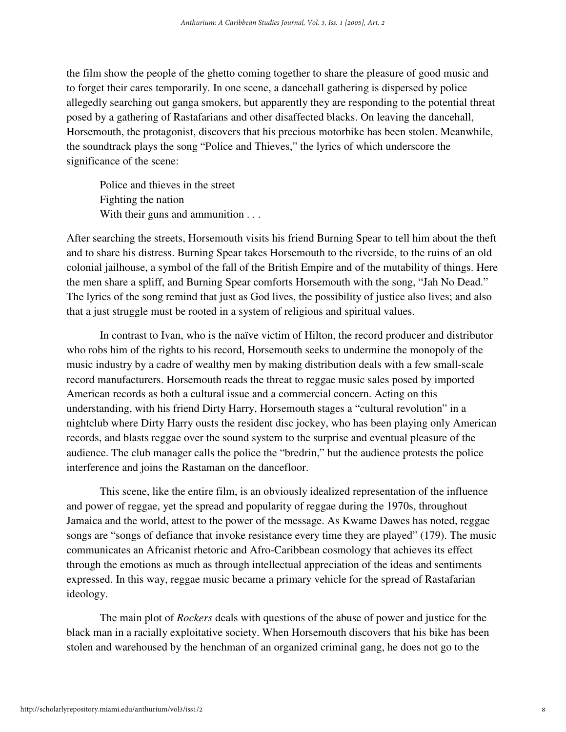the film show the people of the ghetto coming together to share the pleasure of good music and to forget their cares temporarily. In one scene, a dancehall gathering is dispersed by police allegedly searching out ganga smokers, but apparently they are responding to the potential threat posed by a gathering of Rastafarians and other disaffected blacks. On leaving the dancehall, Horsemouth, the protagonist, discovers that his precious motorbike has been stolen. Meanwhile, the soundtrack plays the song "Police and Thieves," the lyrics of which underscore the significance of the scene:

Police and thieves in the street Fighting the nation With their guns and ammunition . . .

After searching the streets, Horsemouth visits his friend Burning Spear to tell him about the theft and to share his distress. Burning Spear takes Horsemouth to the riverside, to the ruins of an old colonial jailhouse, a symbol of the fall of the British Empire and of the mutability of things. Here the men share a spliff, and Burning Spear comforts Horsemouth with the song, "Jah No Dead." The lyrics of the song remind that just as God lives, the possibility of justice also lives; and also that a just struggle must be rooted in a system of religious and spiritual values.

In contrast to Ivan, who is the naïve victim of Hilton, the record producer and distributor who robs him of the rights to his record, Horsemouth seeks to undermine the monopoly of the music industry by a cadre of wealthy men by making distribution deals with a few small-scale record manufacturers. Horsemouth reads the threat to reggae music sales posed by imported American records as both a cultural issue and a commercial concern. Acting on this understanding, with his friend Dirty Harry, Horsemouth stages a "cultural revolution" in a nightclub where Dirty Harry ousts the resident disc jockey, who has been playing only American records, and blasts reggae over the sound system to the surprise and eventual pleasure of the audience. The club manager calls the police the "bredrin," but the audience protests the police interference and joins the Rastaman on the dancefloor.

This scene, like the entire film, is an obviously idealized representation of the influence and power of reggae, yet the spread and popularity of reggae during the 1970s, throughout Jamaica and the world, attest to the power of the message. As Kwame Dawes has noted, reggae songs are "songs of defiance that invoke resistance every time they are played" (179). The music communicates an Africanist rhetoric and Afro-Caribbean cosmology that achieves its effect through the emotions as much as through intellectual appreciation of the ideas and sentiments expressed. In this way, reggae music became a primary vehicle for the spread of Rastafarian ideology.

The main plot of *Rockers* deals with questions of the abuse of power and justice for the black man in a racially exploitative society. When Horsemouth discovers that his bike has been stolen and warehoused by the henchman of an organized criminal gang, he does not go to the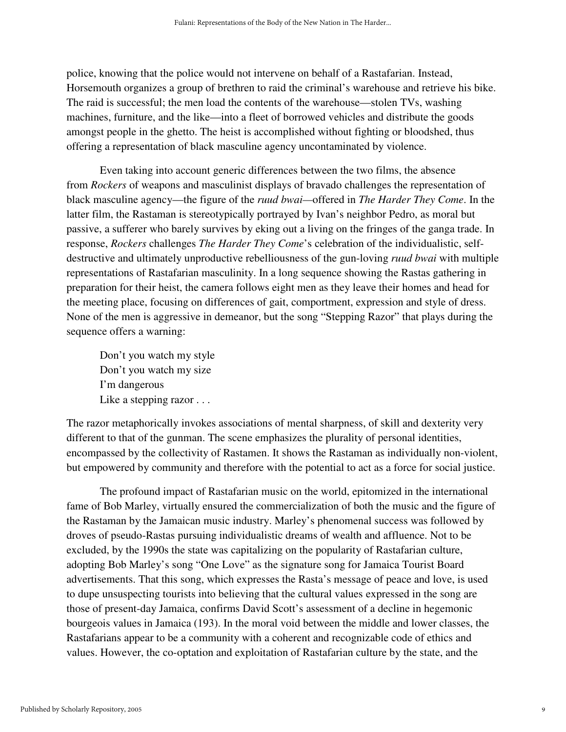police, knowing that the police would not intervene on behalf of a Rastafarian. Instead, Horsemouth organizes a group of brethren to raid the criminal's warehouse and retrieve his bike. The raid is successful; the men load the contents of the warehouse—stolen TVs, washing machines, furniture, and the like—into a fleet of borrowed vehicles and distribute the goods amongst people in the ghetto. The heist is accomplished without fighting or bloodshed, thus offering a representation of black masculine agency uncontaminated by violence.

Even taking into account generic differences between the two films, the absence from *Rockers* of weapons and masculinist displays of bravado challenges the representation of black masculine agency—the figure of the *ruud bwai—*offered in *The Harder They Come*. In the latter film, the Rastaman is stereotypically portrayed by Ivan's neighbor Pedro, as moral but passive, a sufferer who barely survives by eking out a living on the fringes of the ganga trade. In response, *Rockers* challenges *The Harder They Come*'s celebration of the individualistic, selfdestructive and ultimately unproductive rebelliousness of the gun-loving *ruud bwai* with multiple representations of Rastafarian masculinity. In a long sequence showing the Rastas gathering in preparation for their heist, the camera follows eight men as they leave their homes and head for the meeting place, focusing on differences of gait, comportment, expression and style of dress. None of the men is aggressive in demeanor, but the song "Stepping Razor" that plays during the sequence offers a warning:

Don't you watch my style Don't you watch my size I'm dangerous Like a stepping razor . . .

The razor metaphorically invokes associations of mental sharpness, of skill and dexterity very different to that of the gunman. The scene emphasizes the plurality of personal identities, encompassed by the collectivity of Rastamen. It shows the Rastaman as individually non-violent, but empowered by community and therefore with the potential to act as a force for social justice.

The profound impact of Rastafarian music on the world, epitomized in the international fame of Bob Marley, virtually ensured the commercialization of both the music and the figure of the Rastaman by the Jamaican music industry. Marley's phenomenal success was followed by droves of pseudo-Rastas pursuing individualistic dreams of wealth and affluence. Not to be excluded, by the 1990s the state was capitalizing on the popularity of Rastafarian culture, adopting Bob Marley's song "One Love" as the signature song for Jamaica Tourist Board advertisements. That this song, which expresses the Rasta's message of peace and love, is used to dupe unsuspecting tourists into believing that the cultural values expressed in the song are those of present-day Jamaica, confirms David Scott's assessment of a decline in hegemonic bourgeois values in Jamaica (193). In the moral void between the middle and lower classes, the Rastafarians appear to be a community with a coherent and recognizable code of ethics and values. However, the co-optation and exploitation of Rastafarian culture by the state, and the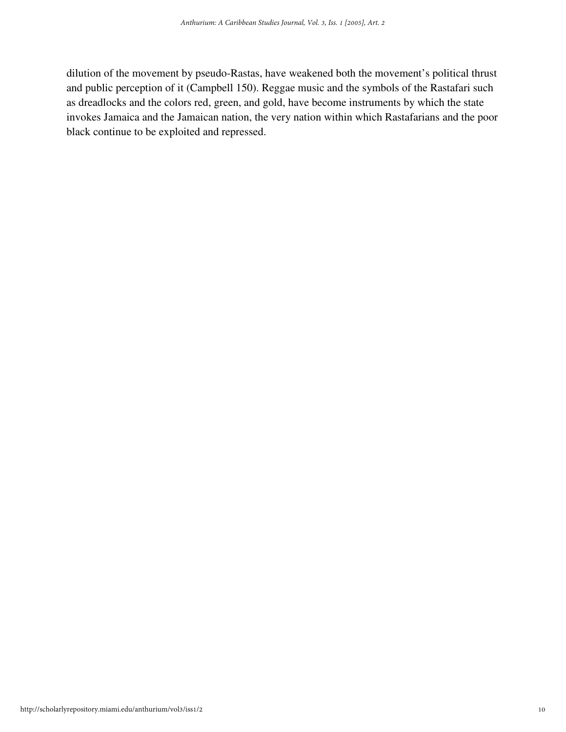dilution of the movement by pseudo-Rastas, have weakened both the movement's political thrust and public perception of it (Campbell 150). Reggae music and the symbols of the Rastafari such as dreadlocks and the colors red, green, and gold, have become instruments by which the state invokes Jamaica and the Jamaican nation, the very nation within which Rastafarians and the poor black continue to be exploited and repressed.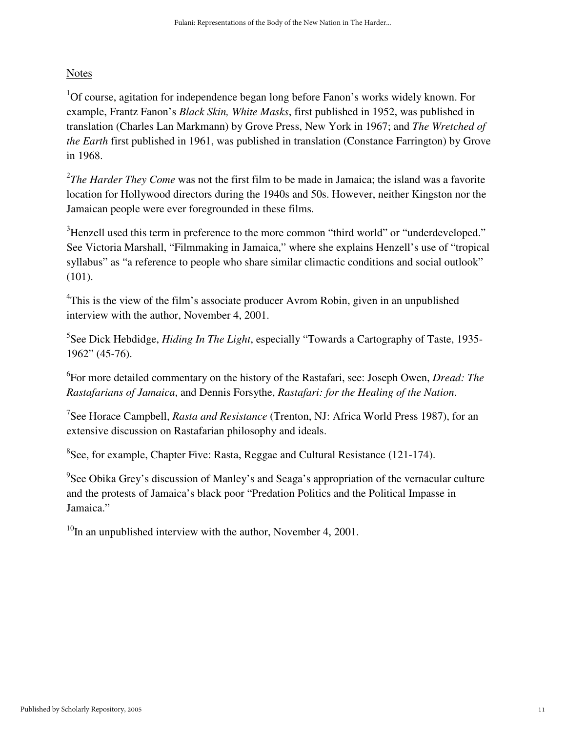# Notes

<sup>1</sup>Of course, agitation for independence began long before Fanon's works widely known. For example, Frantz Fanon's *Black Skin, White Masks*, first published in 1952, was published in translation (Charles Lan Markmann) by Grove Press, New York in 1967; and *The Wretched of the Earth* first published in 1961, was published in translation (Constance Farrington) by Grove in 1968.

<sup>2</sup>The Harder They Come was not the first film to be made in Jamaica; the island was a favorite location for Hollywood directors during the 1940s and 50s. However, neither Kingston nor the Jamaican people were ever foregrounded in these films.

<sup>3</sup>Henzell used this term in preference to the more common "third world" or "underdeveloped." See Victoria Marshall, "Filmmaking in Jamaica," where she explains Henzell's use of "tropical syllabus" as "a reference to people who share similar climactic conditions and social outlook" (101).

<sup>4</sup>This is the view of the film's associate producer Avrom Robin, given in an unpublished interview with the author, November 4, 2001.

<sup>5</sup>See Dick Hebdidge, *Hiding In The Light*, especially "Towards a Cartography of Taste, 1935-1962" (45-76).

6 For more detailed commentary on the history of the Rastafari, see: Joseph Owen, *Dread: The Rastafarians of Jamaica*, and Dennis Forsythe, *Rastafari: for the Healing of the Nation*.

7 See Horace Campbell, *Rasta and Resistance* (Trenton, NJ: Africa World Press 1987), for an extensive discussion on Rastafarian philosophy and ideals.

 ${}^{8}$ See, for example, Chapter Five: Rasta, Reggae and Cultural Resistance (121-174).

 $9$ See Obika Grey's discussion of Manley's and Seaga's appropriation of the vernacular culture and the protests of Jamaica's black poor "Predation Politics and the Political Impasse in Jamaica."

 $10$ In an unpublished interview with the author, November 4, 2001.